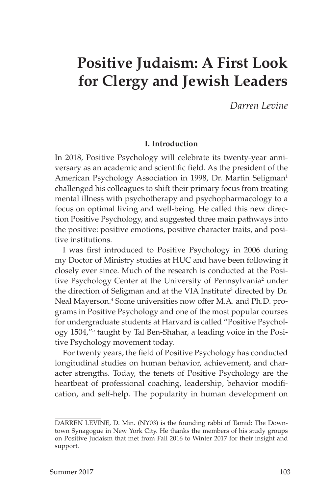# **Positive Judaism: A First Look for Clergy and Jewish Leaders**

*Darren Levine*

## **I. Introduction**

In 2018, Positive Psychology will celebrate its twenty-year anniversary as an academic and scientific field. As the president of the American Psychology Association in 1998, Dr. Martin Seligman<sup>1</sup> challenged his colleagues to shift their primary focus from treating mental illness with psychotherapy and psychopharmacology to a focus on optimal living and well-being. He called this new direction Positive Psychology, and suggested three main pathways into the positive: positive emotions, positive character traits, and positive institutions.

I was first introduced to Positive Psychology in 2006 during my Doctor of Ministry studies at HUC and have been following it closely ever since. Much of the research is conducted at the Positive Psychology Center at the University of Pennsylvania<sup>2</sup> under the direction of Seligman and at the VIA Institute<sup>3</sup> directed by Dr. Neal Mayerson.4 Some universities now offer M.A. and Ph.D. programs in Positive Psychology and one of the most popular courses for undergraduate students at Harvard is called "Positive Psychology 1504,"5 taught by Tal Ben-Shahar, a leading voice in the Positive Psychology movement today.

For twenty years, the field of Positive Psychology has conducted longitudinal studies on human behavior, achievement, and character strengths. Today, the tenets of Positive Psychology are the heartbeat of professional coaching, leadership, behavior modification, and self-help. The popularity in human development on

DARREN LEVINE, D. Min. (NY03) is the founding rabbi of Tamid: The Downtown Synagogue in New York City. He thanks the members of his study groups on Positive Judaism that met from Fall 2016 to Winter 2017 for their insight and support.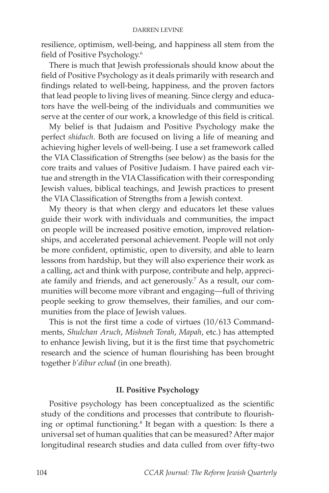resilience, optimism, well-being, and happiness all stem from the field of Positive Psychology.6

There is much that Jewish professionals should know about the field of Positive Psychology as it deals primarily with research and findings related to well-being, happiness, and the proven factors that lead people to living lives of meaning. Since clergy and educators have the well-being of the individuals and communities we serve at the center of our work, a knowledge of this field is critical.

My belief is that Judaism and Positive Psychology make the perfect *shiduch*. Both are focused on living a life of meaning and achieving higher levels of well-being. I use a set framework called the VIA Classification of Strengths (see below) as the basis for the core traits and values of Positive Judaism. I have paired each virtue and strength in the VIA Classification with their corresponding Jewish values, biblical teachings, and Jewish practices to present the VIA Classification of Strengths from a Jewish context.

My theory is that when clergy and educators let these values guide their work with individuals and communities, the impact on people will be increased positive emotion, improved relationships, and accelerated personal achievement. People will not only be more confident, optimistic, open to diversity, and able to learn lessons from hardship, but they will also experience their work as a calling, act and think with purpose, contribute and help, appreciate family and friends, and act generously.<sup>7</sup> As a result, our communities will become more vibrant and engaging—full of thriving people seeking to grow themselves, their families, and our communities from the place of Jewish values.

This is not the first time a code of virtues (10/613 Commandments, *Shulchan Aruch*, *Mishneh Torah*, *Mapah*, etc.) has attempted to enhance Jewish living, but it is the first time that psychometric research and the science of human flourishing has been brought together *b'dibur echad* (in one breath).

#### **II. Positive Psychology**

Positive psychology has been conceptualized as the scientific study of the conditions and processes that contribute to flourishing or optimal functioning.8 It began with a question: Is there a universal set of human qualities that can be measured? After major longitudinal research studies and data culled from over fifty-two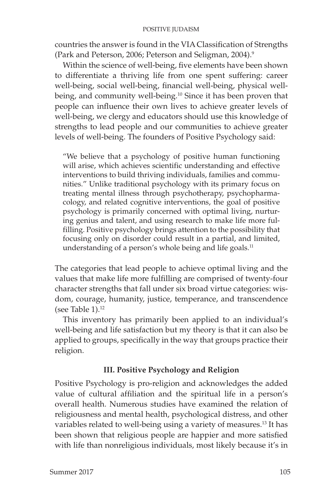countries the answer is found in the VIA Classification of Strengths (Park and Peterson, 2006; Peterson and Seligman, 2004).9

Within the science of well-being, five elements have been shown to differentiate a thriving life from one spent suffering: career well-being, social well-being, financial well-being, physical wellbeing, and community well-being.<sup>10</sup> Since it has been proven that people can influence their own lives to achieve greater levels of well-being, we clergy and educators should use this knowledge of strengths to lead people and our communities to achieve greater levels of well-being. The founders of Positive Psychology said:

"We believe that a psychology of positive human functioning will arise, which achieves scientific understanding and effective interventions to build thriving individuals, families and communities." Unlike traditional psychology with its primary focus on treating mental illness through psychotherapy, psychopharmacology, and related cognitive interventions, the goal of positive psychology is primarily concerned with optimal living, nurturing genius and talent, and using research to make life more fulfilling. Positive psychology brings attention to the possibility that focusing only on disorder could result in a partial, and limited, understanding of a person's whole being and life goals.<sup>11</sup>

The categories that lead people to achieve optimal living and the values that make life more fulfilling are comprised of twenty-four character strengths that fall under six broad virtue categories: wisdom, courage, humanity, justice, temperance, and transcendence (see Table  $1$ ).<sup>12</sup>

This inventory has primarily been applied to an individual's well-being and life satisfaction but my theory is that it can also be applied to groups, specifically in the way that groups practice their religion.

## **III. Positive Psychology and Religion**

Positive Psychology is pro-religion and acknowledges the added value of cultural affiliation and the spiritual life in a person's overall health. Numerous studies have examined the relation of religiousness and mental health, psychological distress, and other variables related to well-being using a variety of measures.<sup>13</sup> It has been shown that religious people are happier and more satisfied with life than nonreligious individuals, most likely because it's in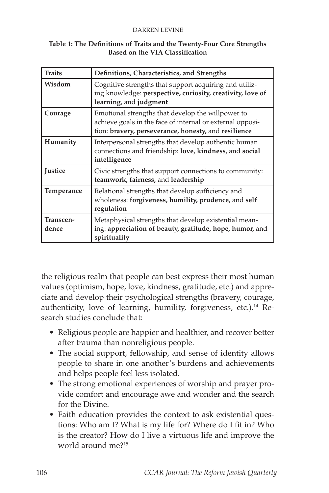| Table 1: The Definitions of Traits and the Twenty-Four Core Strengths |
|-----------------------------------------------------------------------|
| Based on the VIA Classification                                       |

| <b>Traits</b>      | Definitions, Characteristics, and Strengths                                                                                                                            |
|--------------------|------------------------------------------------------------------------------------------------------------------------------------------------------------------------|
| Wisdom             | Cognitive strengths that support acquiring and utiliz-<br>ing knowledge: perspective, curiosity, creativity, love of<br>learning, and judgment                         |
| Courage            | Emotional strengths that develop the willpower to<br>achieve goals in the face of internal or external opposi-<br>tion: bravery, perseverance, honesty, and resilience |
| Humanity           | Interpersonal strengths that develop authentic human<br>connections and friendship: love, kindness, and social<br>intelligence                                         |
| <b>Justice</b>     | Civic strengths that support connections to community:<br>teamwork, fairness, and leadership                                                                           |
| Temperance         | Relational strengths that develop sufficiency and<br>wholeness: forgiveness, humility, prudence, and self<br>regulation                                                |
| Transcen-<br>dence | Metaphysical strengths that develop existential mean-<br>ing: appreciation of beauty, gratitude, hope, humor, and<br>spirituality                                      |

the religious realm that people can best express their most human values (optimism, hope, love, kindness, gratitude, etc.) and appreciate and develop their psychological strengths (bravery, courage, authenticity, love of learning, humility, forgiveness, etc.).<sup>14</sup> Research studies conclude that:

- Religious people are happier and healthier, and recover better after trauma than nonreligious people.
- The social support, fellowship, and sense of identity allows people to share in one another's burdens and achievements and helps people feel less isolated.
- The strong emotional experiences of worship and prayer provide comfort and encourage awe and wonder and the search for the Divine.
- Faith education provides the context to ask existential questions: Who am I? What is my life for? Where do I fit in? Who is the creator? How do I live a virtuous life and improve the world around me?15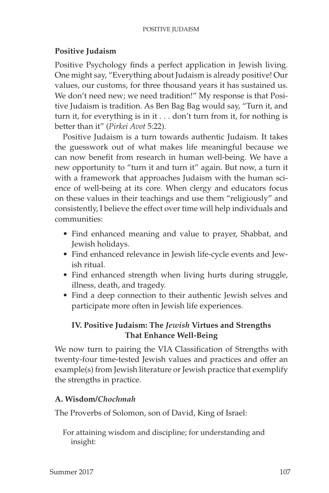## **Positive Judaism**

Positive Psychology finds a perfect application in Jewish living. One might say, "Everything about Judaism is already positive! Our values, our customs, for three thousand years it has sustained us. We don't need new; we need tradition!" My response is that Positive Judaism is tradition. As Ben Bag Bag would say, "Turn it, and turn it, for everything is in it . . . don't turn from it, for nothing is better than it" (*Pirkei Avot* 5:22).

Positive Judaism is a turn towards authentic Judaism. It takes the guesswork out of what makes life meaningful because we can now benefit from research in human well-being. We have a new opportunity to "turn it and turn it" again. But now, a turn it with a framework that approaches Judaism with the human science of well-being at its core. When clergy and educators focus on these values in their teachings and use them "religiously" and consistently, I believe the effect over time will help individuals and communities:

- Find enhanced meaning and value to prayer, Shabbat, and Jewish holidays.
- Find enhanced relevance in Jewish life-cycle events and Jewish ritual.
- Find enhanced strength when living hurts during struggle, illness, death, and tragedy.
- Find a deep connection to their authentic Jewish selves and participate more often in Jewish life experiences.

## **IV. Positive Judaism: The** *Jewish* **Virtues and Strengths That Enhance Well-Being**

We now turn to pairing the VIA Classification of Strengths with twenty-four time-tested Jewish values and practices and offer an example(s) from Jewish literature or Jewish practice that exemplify the strengths in practice.

## **A. Wisdom/***Chochmah*

The Proverbs of Solomon, son of David, King of Israel:

For attaining wisdom and discipline; for understanding and insight: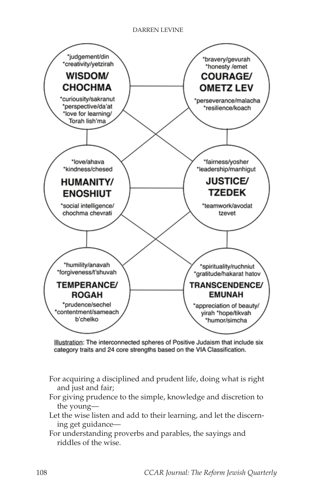

Illustration: The interconnected spheres of Positive Judaism that include six category traits and 24 core strengths based on the VIA Classification.

- For acquiring a disciplined and prudent life, doing what is right and just and fair;
- For giving prudence to the simple, knowledge and discretion to the young—
- Let the wise listen and add to their learning, and let the discerning get guidance—
- For understanding proverbs and parables, the sayings and riddles of the wise.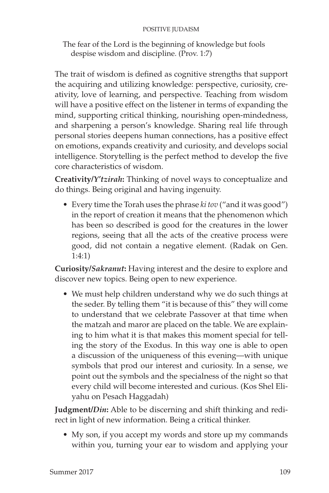The fear of the Lord is the beginning of knowledge but fools despise wisdom and discipline. (Prov. 1:7)

The trait of wisdom is defined as cognitive strengths that support the acquiring and utilizing knowledge: perspective, curiosity, creativity, love of learning, and perspective. Teaching from wisdom will have a positive effect on the listener in terms of expanding the mind, supporting critical thinking, nourishing open-mindedness, and sharpening a person's knowledge. Sharing real life through personal stories deepens human connections, has a positive effect on emotions, expands creativity and curiosity, and develops social intelligence. Storytelling is the perfect method to develop the five core characteristics of wisdom.

**Creativity/***Y'tzirah***:** Thinking of novel ways to conceptualize and do things. Being original and having ingenuity.

• Every time the Torah uses the phrase *ki tov* ("and it was good") in the report of creation it means that the phenomenon which has been so described is good for the creatures in the lower regions, seeing that all the acts of the creative process were good, did not contain a negative element. (Radak on Gen. 1:4:1)

**Curiosity/***Sakranut***:** Having interest and the desire to explore and discover new topics. Being open to new experience.

• We must help children understand why we do such things at the seder. By telling them "it is because of this" they will come to understand that we celebrate Passover at that time when the matzah and maror are placed on the table. We are explaining to him what it is that makes this moment special for telling the story of the Exodus. In this way one is able to open a discussion of the uniqueness of this evening—with unique symbols that prod our interest and curiosity. In a sense, we point out the symbols and the specialness of the night so that every child will become interested and curious. (Kos Shel Eliyahu on Pesach Haggadah)

**Judgment/***Din***:** Able to be discerning and shift thinking and redirect in light of new information. Being a critical thinker.

• My son, if you accept my words and store up my commands within you, turning your ear to wisdom and applying your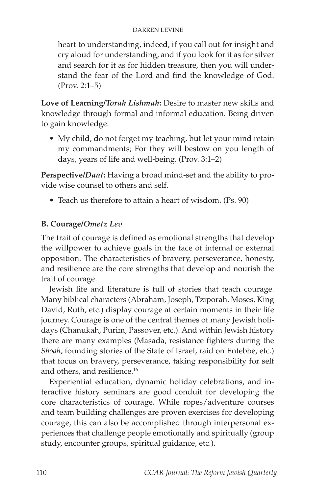heart to understanding, indeed, if you call out for insight and cry aloud for understanding, and if you look for it as for silver and search for it as for hidden treasure, then you will understand the fear of the Lord and find the knowledge of God. (Prov. 2:1–5)

**Love of Learning/***Torah Lishmah***:** Desire to master new skills and knowledge through formal and informal education. Being driven to gain knowledge.

• My child, do not forget my teaching, but let your mind retain my commandments; For they will bestow on you length of days, years of life and well-being. (Prov. 3:1–2)

**Perspective/***Daat***:** Having a broad mind-set and the ability to provide wise counsel to others and self.

• Teach us therefore to attain a heart of wisdom. (Ps. 90)

## **B. Courage/***Ometz Lev*

The trait of courage is defined as emotional strengths that develop the willpower to achieve goals in the face of internal or external opposition. The characteristics of bravery, perseverance, honesty, and resilience are the core strengths that develop and nourish the trait of courage.

Jewish life and literature is full of stories that teach courage. Many biblical characters (Abraham, Joseph, Tziporah, Moses, King David, Ruth, etc.) display courage at certain moments in their life journey. Courage is one of the central themes of many Jewish holidays (Chanukah, Purim, Passover, etc.). And within Jewish history there are many examples (Masada, resistance fighters during the *Shoah*, founding stories of the State of Israel, raid on Entebbe, etc.) that focus on bravery, perseverance, taking responsibility for self and others, and resilience.<sup>16</sup>

Experiential education, dynamic holiday celebrations, and interactive history seminars are good conduit for developing the core characteristics of courage. While ropes/adventure courses and team building challenges are proven exercises for developing courage, this can also be accomplished through interpersonal experiences that challenge people emotionally and spiritually (group study, encounter groups, spiritual guidance, etc.).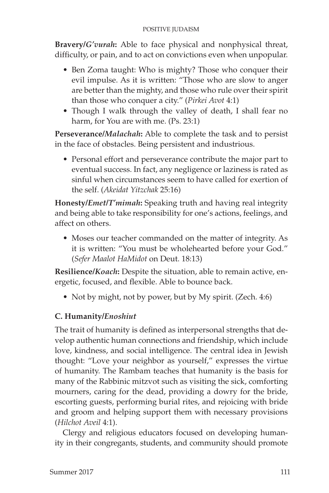**Bravery/***G'vurah***:** Able to face physical and nonphysical threat, difficulty, or pain, and to act on convictions even when unpopular.

- Ben Zoma taught: Who is mighty? Those who conquer their evil impulse. As it is written: "Those who are slow to anger are better than the mighty, and those who rule over their spirit than those who conquer a city." (*Pirkei Avot* 4:1)
- Though I walk through the valley of death, I shall fear no harm, for You are with me. (Ps. 23:1)

**Perseverance/***Malachah***:** Able to complete the task and to persist in the face of obstacles. Being persistent and industrious.

• Personal effort and perseverance contribute the major part to eventual success. In fact, any negligence or laziness is rated as sinful when circumstances seem to have called for exertion of the self. (*Akeidat Yitzchak* 25:16)

**Honesty/***Emet***/***T'mimah***:** Speaking truth and having real integrity and being able to take responsibility for one's actions, feelings, and affect on others.

• Moses our teacher commanded on the matter of integrity. As it is written: "You must be wholehearted before your God." (*Sefer Maalot HaMidot* on Deut. 18:13)

**Resilience/***Koach***:** Despite the situation, able to remain active, energetic, focused, and flexible. Able to bounce back.

• Not by might, not by power, but by My spirit. (Zech. 4:6)

# **C. Humanity/***Enoshiut*

The trait of humanity is defined as interpersonal strengths that develop authentic human connections and friendship, which include love, kindness, and social intelligence. The central idea in Jewish thought: "Love your neighbor as yourself," expresses the virtue of humanity. The Rambam teaches that humanity is the basis for many of the Rabbinic mitzvot such as visiting the sick, comforting mourners, caring for the dead, providing a dowry for the bride, escorting guests, performing burial rites, and rejoicing with bride and groom and helping support them with necessary provisions (*Hilchot Aveil* 4:1).

Clergy and religious educators focused on developing humanity in their congregants, students, and community should promote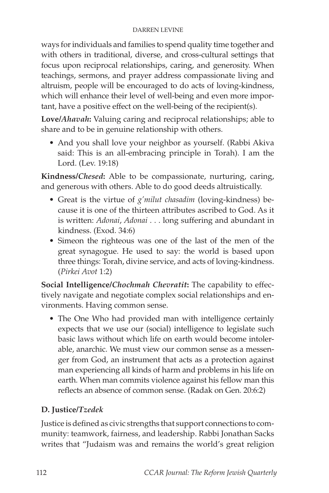ways for individuals and families to spend quality time together and with others in traditional, diverse, and cross-cultural settings that focus upon reciprocal relationships, caring, and generosity. When teachings, sermons, and prayer address compassionate living and altruism, people will be encouraged to do acts of loving-kindness, which will enhance their level of well-being and even more important, have a positive effect on the well-being of the recipient(s).

**Love/***Ahavah***:** Valuing caring and reciprocal relationships; able to share and to be in genuine relationship with others.

• And you shall love your neighbor as yourself. (Rabbi Akiva said: This is an all-embracing principle in Torah). I am the Lord. (Lev. 19:18)

**Kindness/***Chesed***:** Able to be compassionate, nurturing, caring, and generous with others. Able to do good deeds altruistically.

- Great is the virtue of *g'milut chasadim* (loving-kindness) because it is one of the thirteen attributes ascribed to God. As it is written: *Adonai*, *Adonai* . . . long suffering and abundant in kindness. (Exod. 34:6)
- Simeon the righteous was one of the last of the men of the great synagogue. He used to say: the world is based upon three things: Torah, divine service, and acts of loving-kindness. (*Pirkei Avot* 1:2)

**Social Intelligence/***Chochmah Chevratit***:** The capability to effectively navigate and negotiate complex social relationships and environments. Having common sense.

• The One Who had provided man with intelligence certainly expects that we use our (social) intelligence to legislate such basic laws without which life on earth would become intolerable, anarchic. We must view our common sense as a messenger from God, an instrument that acts as a protection against man experiencing all kinds of harm and problems in his life on earth. When man commits violence against his fellow man this reflects an absence of common sense. (Radak on Gen. 20:6:2)

# **D. Justice/***Tzedek*

Justice is defined as civic strengths that support connections to community: teamwork, fairness, and leadership. Rabbi Jonathan Sacks writes that "Judaism was and remains the world's great religion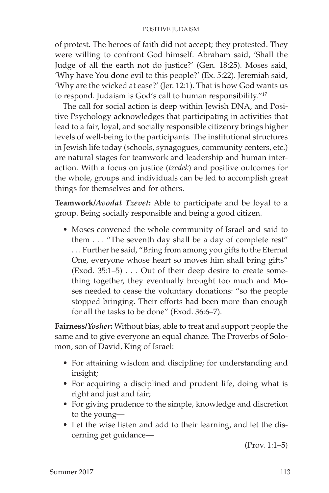of protest. The heroes of faith did not accept; they protested. They were willing to confront God himself. Abraham said, 'Shall the Judge of all the earth not do justice?' (Gen. 18:25). Moses said, 'Why have You done evil to this people?' (Ex. 5:22). Jeremiah said, 'Why are the wicked at ease?' (Jer. 12:1). That is how God wants us to respond. Judaism is God's call to human responsibility."17

The call for social action is deep within Jewish DNA, and Positive Psychology acknowledges that participating in activities that lead to a fair, loyal, and socially responsible citizenry brings higher levels of well-being to the participants. The institutional structures in Jewish life today (schools, synagogues, community centers, etc.) are natural stages for teamwork and leadership and human interaction. With a focus on justice (*tzedek*) and positive outcomes for the whole, groups and individuals can be led to accomplish great things for themselves and for others.

**Teamwork/***Avodat Tzevet***:** Able to participate and be loyal to a group. Being socially responsible and being a good citizen.

• Moses convened the whole community of Israel and said to them . . . "The seventh day shall be a day of complete rest" . . . Further he said, "Bring from among you gifts to the Eternal One, everyone whose heart so moves him shall bring gifts" (Exod. 35:1–5) . . . Out of their deep desire to create something together, they eventually brought too much and Moses needed to cease the voluntary donations: "so the people stopped bringing. Their efforts had been more than enough for all the tasks to be done" (Exod. 36:6–7).

**Fairness/***Yosher***:** Without bias, able to treat and support people the same and to give everyone an equal chance. The Proverbs of Solomon, son of David, King of Israel:

- For attaining wisdom and discipline; for understanding and insight;
- For acquiring a disciplined and prudent life, doing what is right and just and fair;
- For giving prudence to the simple, knowledge and discretion to the young—
- Let the wise listen and add to their learning, and let the discerning get guidance—

(Prov. 1:1–5)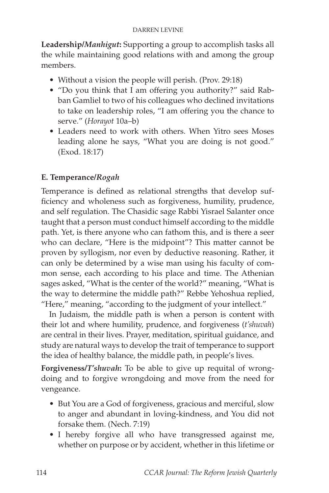**Leadership/***Manhigut***:** Supporting a group to accomplish tasks all the while maintaining good relations with and among the group members.

- Without a vision the people will perish. (Prov. 29:18)
- "Do you think that I am offering you authority?" said Rabban Gamliel to two of his colleagues who declined invitations to take on leadership roles, "I am offering you the chance to serve." (*Horayot* 10a–b)
- Leaders need to work with others. When Yitro sees Moses leading alone he says, "What you are doing is not good." (Exod. 18:17)

## **E. Temperance/***Rogah*

Temperance is defined as relational strengths that develop sufficiency and wholeness such as forgiveness, humility, prudence, and self regulation. The Chasidic sage Rabbi Yisrael Salanter once taught that a person must conduct himself according to the middle path. Yet, is there anyone who can fathom this, and is there a seer who can declare, "Here is the midpoint"? This matter cannot be proven by syllogism, nor even by deductive reasoning. Rather, it can only be determined by a wise man using his faculty of common sense, each according to his place and time. The Athenian sages asked, "What is the center of the world?" meaning, "What is the way to determine the middle path?" Rebbe Yehoshua replied, "Here," meaning, "according to the judgment of your intellect."

In Judaism, the middle path is when a person is content with their lot and where humility, prudence, and forgiveness (*t'shuvah*) are central in their lives. Prayer, meditation, spiritual guidance, and study are natural ways to develop the trait of temperance to support the idea of healthy balance, the middle path, in people's lives.

**Forgiveness/***T'shuvah***:** To be able to give up requital of wrongdoing and to forgive wrongdoing and move from the need for vengeance.

- But You are a God of forgiveness, gracious and merciful, slow to anger and abundant in loving-kindness, and You did not forsake them. (Nech. 7:19)
- I hereby forgive all who have transgressed against me, whether on purpose or by accident, whether in this lifetime or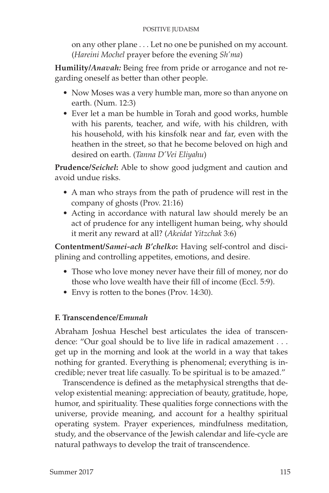on any other plane . . . Let no one be punished on my account. (*Hareini Mochel* prayer before the evening *Sh'ma*)

**Humility/***Anavah:* Being free from pride or arrogance and not regarding oneself as better than other people.

- Now Moses was a very humble man, more so than anyone on earth. (Num. 12:3)
- Ever let a man be humble in Torah and good works, humble with his parents, teacher, and wife, with his children, with his household, with his kinsfolk near and far, even with the heathen in the street, so that he become beloved on high and desired on earth. (*Tanna D'Vei Eliyahu*)

**Prudence/***Seichel***:** Able to show good judgment and caution and avoid undue risks.

- A man who strays from the path of prudence will rest in the company of ghosts (Prov. 21:16)
- Acting in accordance with natural law should merely be an act of prudence for any intelligent human being, why should it merit any reward at all? (*Akeidat Yitzchak* 3:6)

**Contentment/***Samei-ach B'chelko***:** Having self-control and disciplining and controlling appetites, emotions, and desire.

- Those who love money never have their fill of money, nor do those who love wealth have their fill of income (Eccl. 5:9).
- Envy is rotten to the bones (Prov. 14:30).

# **F. Transcendence/***Emunah*

Abraham Joshua Heschel best articulates the idea of transcendence: "Our goal should be to live life in radical amazement . . . get up in the morning and look at the world in a way that takes nothing for granted. Everything is phenomenal; everything is incredible; never treat life casually. To be spiritual is to be amazed."

Transcendence is defined as the metaphysical strengths that develop existential meaning: appreciation of beauty, gratitude, hope, humor, and spirituality. These qualities forge connections with the universe, provide meaning, and account for a healthy spiritual operating system. Prayer experiences, mindfulness meditation, study, and the observance of the Jewish calendar and life-cycle are natural pathways to develop the trait of transcendence.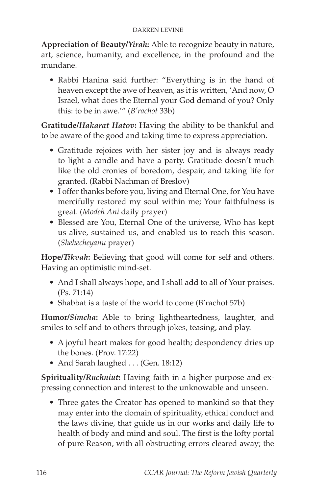**Appreciation of Beauty/***Yirah***:** Able to recognize beauty in nature, art, science, humanity, and excellence, in the profound and the mundane.

• Rabbi Hanina said further: "Everything is in the hand of heaven except the awe of heaven, as it is written, 'And now, O Israel, what does the Eternal your God demand of you? Only this: to be in awe.'" (*B'rachot* 33b)

**Gratitude/***Hakarat Hatov***:** Having the ability to be thankful and to be aware of the good and taking time to express appreciation.

- Gratitude rejoices with her sister joy and is always ready to light a candle and have a party. Gratitude doesn't much like the old cronies of boredom, despair, and taking life for granted. (Rabbi Nachman of Breslov)
- I offer thanks before you, living and Eternal One, for You have mercifully restored my soul within me; Your faithfulness is great. (*Modeh Ani* daily prayer)
- Blessed are You, Eternal One of the universe, Who has kept us alive, sustained us, and enabled us to reach this season. (*Shehecheyanu* prayer)

**Hope/***Tikvah***:** Believing that good will come for self and others. Having an optimistic mind-set.

- And I shall always hope, and I shall add to all of Your praises. (Ps. 71:14)
- Shabbat is a taste of the world to come (B'rachot 57b)

**Humor/***Simcha***:** Able to bring lightheartedness, laughter, and smiles to self and to others through jokes, teasing, and play.

- A joyful heart makes for good health; despondency dries up the bones. (Prov. 17:22)
- And Sarah laughed . . . (Gen. 18:12)

**Spirituality/***Ruchniut***:** Having faith in a higher purpose and expressing connection and interest to the unknowable and unseen.

• Three gates the Creator has opened to mankind so that they may enter into the domain of spirituality, ethical conduct and the laws divine, that guide us in our works and daily life to health of body and mind and soul. The first is the lofty portal of pure Reason, with all obstructing errors cleared away; the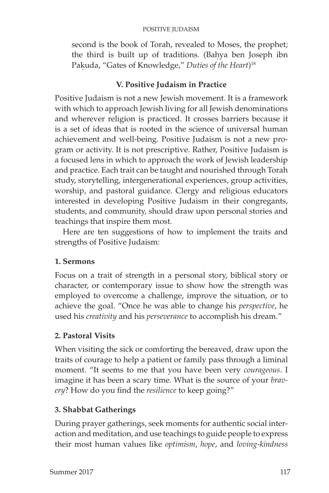second is the book of Torah, revealed to Moses, the prophet; the third is built up of traditions. (Bahya ben Joseph ibn Pak.uda, "Gates of Knowledge," *Duties of the Heart*) 18

## **V. Positive Judaism in Practice**

Positive Judaism is not a new Jewish movement. It is a framework with which to approach Jewish living for all Jewish denominations and wherever religion is practiced. It crosses barriers because it is a set of ideas that is rooted in the science of universal human achievement and well-being. Positive Judaism is not a new program or activity. It is not prescriptive. Rather, Positive Judaism is a focused lens in which to approach the work of Jewish leadership and practice. Each trait can be taught and nourished through Torah study, storytelling, intergenerational experiences, group activities, worship, and pastoral guidance. Clergy and religious educators interested in developing Positive Judaism in their congregants, students, and community, should draw upon personal stories and teachings that inspire them most.

Here are ten suggestions of how to implement the traits and strengths of Positive Judaism:

## **1. Sermons**

Focus on a trait of strength in a personal story, biblical story or character, or contemporary issue to show how the strength was employed to overcome a challenge, improve the situation, or to achieve the goal. "Once he was able to change his *perspective*, he used his *creativity* and his *perseverance* to accomplish his dream."

# **2. Pastoral Visits**

When visiting the sick or comforting the bereaved, draw upon the traits of courage to help a patient or family pass through a liminal moment. "It seems to me that you have been very *courageous*. I imagine it has been a scary time. What is the source of your *bravery*? How do you find the *resilience* to keep going?"

# **3. Shabbat Gatherings**

During prayer gatherings, seek moments for authentic social interaction and meditation, and use teachings to guide people to express their most human values like *optimism*, *hope*, and *loving-kindness*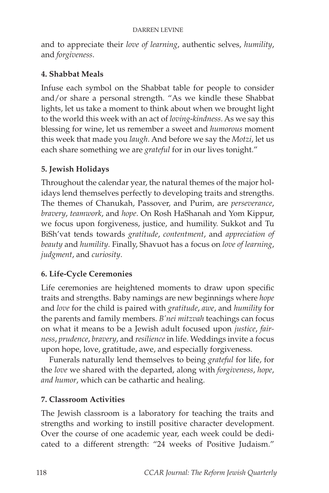and to appreciate their *love of learning*, authentic selves, *humility*, and *forgiveness*.

## **4. Shabbat Meals**

Infuse each symbol on the Shabbat table for people to consider and/or share a personal strength. "As we kindle these Shabbat lights, let us take a moment to think about when we brought light to the world this week with an act of *loving*-*kindness*. As we say this blessing for wine, let us remember a sweet and *humorous* moment this week that made you *laugh*. And before we say the *Motzi*, let us each share something we are *grateful* for in our lives tonight."

## **5. Jewish Holidays**

Throughout the calendar year, the natural themes of the major holidays lend themselves perfectly to developing traits and strengths. The themes of Chanukah, Passover, and Purim, are *perseverance*, *bravery*, *teamwork*, and *hope*. On Rosh HaShanah and Yom Kippur, we focus upon forgiveness, justice, and humility. Sukkot and Tu BiSh'vat tends towards *gratitude*, *contentment*, and *appreciation of beauty* and *humility*. Finally, Shavuot has a focus on *love of learning*, *judgment*, and *curiosity*.

## **6. Life-Cycle Ceremonies**

Life ceremonies are heightened moments to draw upon specific traits and strengths. Baby namings are new beginnings where *hope*  and *love* for the child is paired with *gratitude*, *awe*, and *humility* for the parents and family members. *B'nei mitzvah* teachings can focus on what it means to be a Jewish adult focused upon *justice*, *fairness*, *prudence*, *bravery*, and *resilience* in life. Weddings invite a focus upon hope, love, gratitude, awe, and especially forgiveness.

Funerals naturally lend themselves to being *grateful* for life, for the *love* we shared with the departed, along with *forgiveness*, *hope*, *and humor*, which can be cathartic and healing.

## **7. Classroom Activities**

The Jewish classroom is a laboratory for teaching the traits and strengths and working to instill positive character development. Over the course of one academic year, each week could be dedicated to a different strength: "24 weeks of Positive Judaism."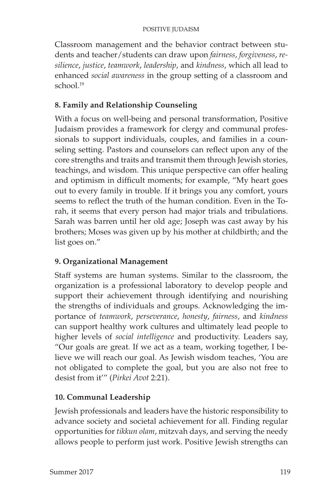Classroom management and the behavior contract between students and teacher/students can draw upon *fairness*, *forgiveness*, *resilience*, *justice*, *teamwork*, *leadership*, and *kindness*, which all lead to enhanced *social awareness* in the group setting of a classroom and school.<sup>19</sup>

# **8. Family and Relationship Counseling**

With a focus on well-being and personal transformation, Positive Judaism provides a framework for clergy and communal professionals to support individuals, couples, and families in a counseling setting. Pastors and counselors can reflect upon any of the core strengths and traits and transmit them through Jewish stories, teachings, and wisdom. This unique perspective can offer healing and optimism in difficult moments; for example, "My heart goes out to every family in trouble. If it brings you any comfort, yours seems to reflect the truth of the human condition. Even in the Torah, it seems that every person had major trials and tribulations. Sarah was barren until her old age; Joseph was cast away by his brothers; Moses was given up by his mother at childbirth; and the list goes on."

# **9. Organizational Management**

Staff systems are human systems. Similar to the classroom, the organization is a professional laboratory to develop people and support their achievement through identifying and nourishing the strengths of individuals and groups. Acknowledging the importance of *teamwork*, *perseverance*, *honesty*, *fairness*, and *kindness* can support healthy work cultures and ultimately lead people to higher levels of *social intelligence* and productivity. Leaders say, "Our goals are great. If we act as a team, working together, I believe we will reach our goal. As Jewish wisdom teaches, 'You are not obligated to complete the goal, but you are also not free to desist from it'" (*Pirkei Avot* 2:21).

## **10. Communal Leadership**

Jewish professionals and leaders have the historic responsibility to advance society and societal achievement for all. Finding regular opportunities for *tikkun olam*, mitzvah days, and serving the needy allows people to perform just work. Positive Jewish strengths can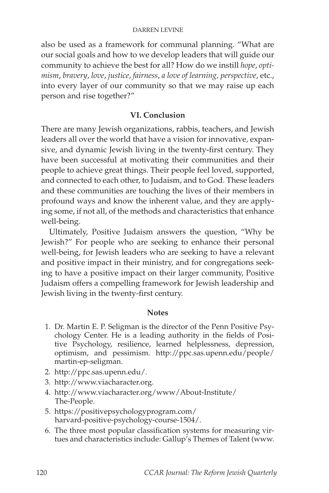also be used as a framework for communal planning. "What are our social goals and how to we develop leaders that will guide our community to achieve the best for all? How do we instill *hope*, *optimism*, *bravery*, *love*, *justice*, *fairness*, *a love of learning, perspective*, etc., into every layer of our community so that we may raise up each person and rise together?"

#### **VI. Conclusion**

There are many Jewish organizations, rabbis, teachers, and Jewish leaders all over the world that have a vision for innovative, expansive, and dynamic Jewish living in the twenty-first century. They have been successful at motivating their communities and their people to achieve great things. Their people feel loved, supported, and connected to each other, to Judaism, and to God. These leaders and these communities are touching the lives of their members in profound ways and know the inherent value, and they are applying some, if not all, of the methods and characteristics that enhance well-being.

Ultimately, Positive Judaism answers the question, "Why be Jewish?" For people who are seeking to enhance their personal well-being, for Jewish leaders who are seeking to have a relevant and positive impact in their ministry, and for congregations seeking to have a positive impact on their larger community, Positive Judaism offers a compelling framework for Jewish leadership and Jewish living in the twenty-first century.

#### **Notes**

- 1. Dr. Martin E. P. Seligman is the director of the Penn Positive Psychology Center. He is a leading authority in the fields of Positive Psychology, resilience, learned helplessness, depression, optimism, and pessimism. http://ppc.sas.upenn.edu/people/ martin-ep-seligman.
- 2. http://ppc.sas.upenn.edu/.
- 3. http://www.viacharacter.org.
- 4. http://www.viacharacter.org/www/About-Institute/ The-People.
- 5. https://positivepsychologyprogram.com/ harvard-positive-psychology-course-1504/.
- 6. The three most popular classification systems for measuring virtues and characteristics include: Gallup's Themes of Talent (www.